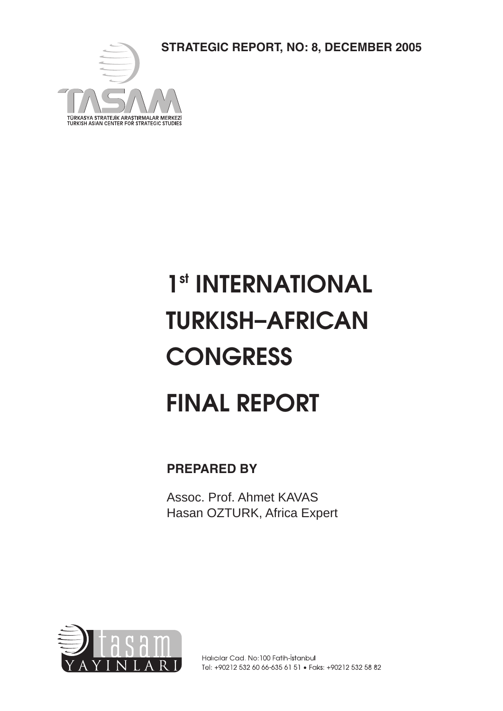**STRATEGIC REPORT, NO: 8, DECEMBER 2005**



# 1<sup>st</sup> INTERNATIONAL TURKISH–AFRICAN **CONGRESS** FINAL REPORT

**PREPARED BY**

Assoc. Prof. Ahmet KAVAS Hasan OZTURK, Africa Expert

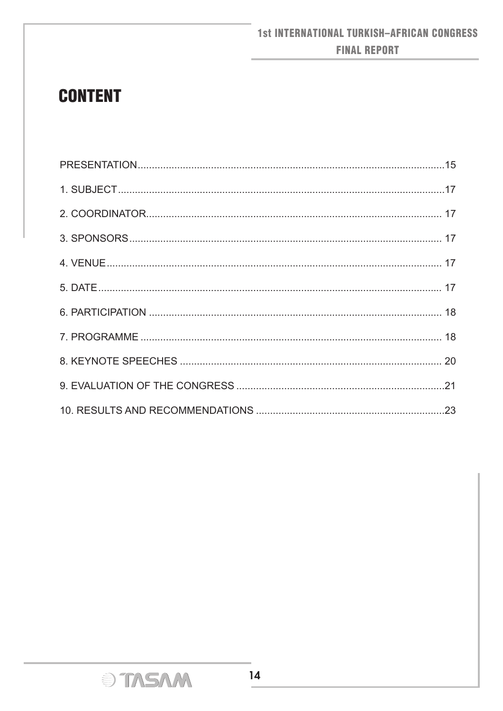# **CONTENT**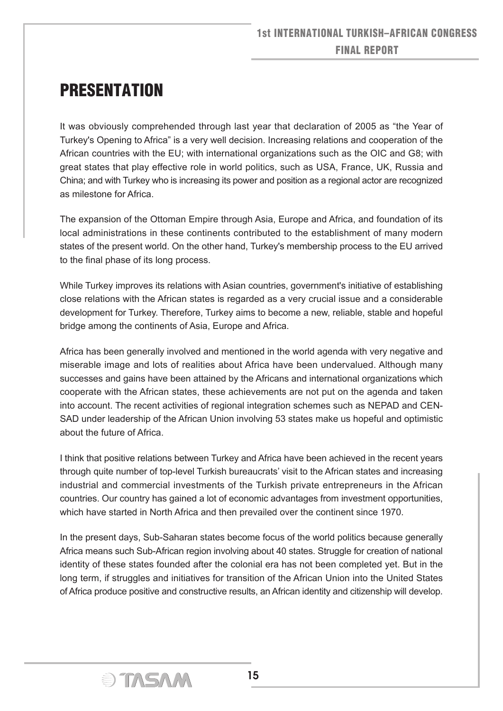# PRESENTATION

It was obviously comprehended through last year that declaration of 2005 as "the Year of Turkey's Opening to Africa" is a very well decision. Increasing relations and cooperation of the African countries with the EU; with international organizations such as the OIC and G8; with great states that play effective role in world politics, such as USA, France, UK, Russia and China; and with Turkey who is increasing its power and position as a regional actor are recognized as milestone for Africa.

The expansion of the Ottoman Empire through Asia, Europe and Africa, and foundation of its local administrations in these continents contributed to the establishment of many modern states of the present world. On the other hand, Turkey's membership process to the EU arrived to the final phase of its long process.

While Turkey improves its relations with Asian countries, government's initiative of establishing close relations with the African states is regarded as a very crucial issue and a considerable development for Turkey. Therefore, Turkey aims to become a new, reliable, stable and hopeful bridge among the continents of Asia, Europe and Africa.

Africa has been generally involved and mentioned in the world agenda with very negative and miserable image and lots of realities about Africa have been undervalued. Although many successes and gains have been attained by the Africans and international organizations which cooperate with the African states, these achievements are not put on the agenda and taken into account. The recent activities of regional integration schemes such as NEPAD and CEN-SAD under leadership of the African Union involving 53 states make us hopeful and optimistic about the future of Africa.

I think that positive relations between Turkey and Africa have been achieved in the recent years through quite number of top-level Turkish bureaucrats' visit to the African states and increasing industrial and commercial investments of the Turkish private entrepreneurs in the African countries. Our country has gained a lot of economic advantages from investment opportunities, which have started in North Africa and then prevailed over the continent since 1970.

In the present days, Sub-Saharan states become focus of the world politics because generally Africa means such Sub-African region involving about 40 states. Struggle for creation of national identity of these states founded after the colonial era has not been completed yet. But in the long term, if struggles and initiatives for transition of the African Union into the United States of Africa produce positive and constructive results, an African identity and citizenship will develop.

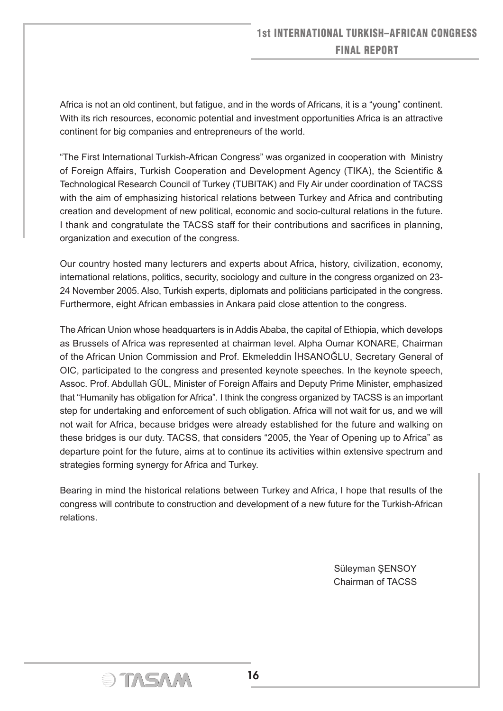Africa is not an old continent, but fatigue, and in the words of Africans, it is a "young" continent. With its rich resources, economic potential and investment opportunities Africa is an attractive continent for big companies and entrepreneurs of the world.

"The First International Turkish-African Congress" was organized in cooperation with Ministry of Foreign Affairs, Turkish Cooperation and Development Agency (TIKA), the Scientific & Technological Research Council of Turkey (TUBITAK) and Fly Air under coordination of TACSS with the aim of emphasizing historical relations between Turkey and Africa and contributing creation and development of new political, economic and socio-cultural relations in the future. I thank and congratulate the TACSS staff for their contributions and sacrifices in planning, organization and execution of the congress.

Our country hosted many lecturers and experts about Africa, history, civilization, economy, international relations, politics, security, sociology and culture in the congress organized on 23- 24 November 2005. Also, Turkish experts, diplomats and politicians participated in the congress. Furthermore, eight African embassies in Ankara paid close attention to the congress.

The African Union whose headquarters is in Addis Ababa, the capital of Ethiopia, which develops as Brussels of Africa was represented at chairman level. Alpha Oumar KONARE, Chairman of the African Union Commission and Prof. Ekmeleddin İHSANOĞLU, Secretary General of OIC, participated to the congress and presented keynote speeches. In the keynote speech, Assoc. Prof. Abdullah GÜL, Minister of Foreign Affairs and Deputy Prime Minister, emphasized that "Humanity has obligation for Africa". I think the congress organized by TACSS is an important step for undertaking and enforcement of such obligation. Africa will not wait for us, and we will not wait for Africa, because bridges were already established for the future and walking on these bridges is our duty. TACSS, that considers "2005, the Year of Opening up to Africa" as departure point for the future, aims at to continue its activities within extensive spectrum and strategies forming synergy for Africa and Turkey.

Bearing in mind the historical relations between Turkey and Africa, I hope that results of the congress will contribute to construction and development of a new future for the Turkish-African relations.

> Süleyman ŞENSOY Chairman of TACSS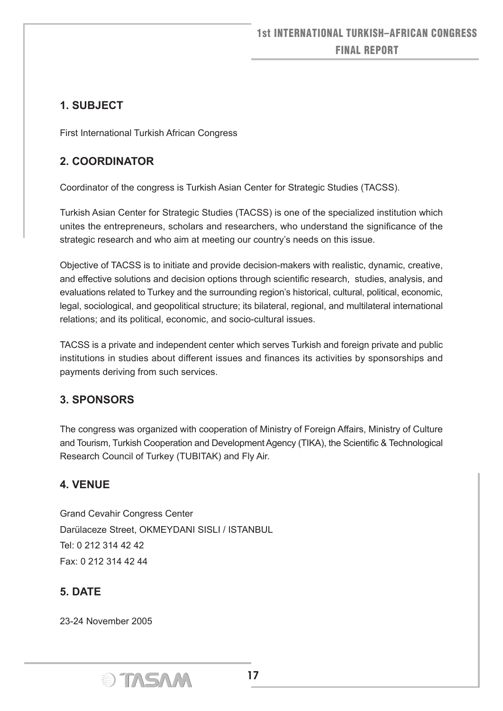# **1. SUBJECT**

First International Turkish African Congress

# **2. COORDINATOR**

Coordinator of the congress is Turkish Asian Center for Strategic Studies (TACSS).

Turkish Asian Center for Strategic Studies (TACSS) is one of the specialized institution which unites the entrepreneurs, scholars and researchers, who understand the significance of the strategic research and who aim at meeting our country's needs on this issue.

Objective of TACSS is to initiate and provide decision-makers with realistic, dynamic, creative, and effective solutions and decision options through scientific research, studies, analysis, and evaluations related to Turkey and the surrounding region's historical, cultural, political, economic, legal, sociological, and geopolitical structure; its bilateral, regional, and multilateral international relations; and its political, economic, and socio-cultural issues.

TACSS is a private and independent center which serves Turkish and foreign private and public institutions in studies about different issues and finances its activities by sponsorships and payments deriving from such services.

## **3. SPONSORS**

The congress was organized with cooperation of Ministry of Foreign Affairs, Ministry of Culture and Tourism, Turkish Cooperation and Development Agency (TIKA), the Scientific & Technological Research Council of Turkey (TUBITAK) and Fly Air.

#### **4. VENUE**

Grand Cevahir Congress Center Darülaceze Street, OKMEYDANI SISLI / ISTANBUL Tel: 0 212 314 42 42 Fax: 0 212 314 42 44

## **5. DATE**

23-24 November 2005

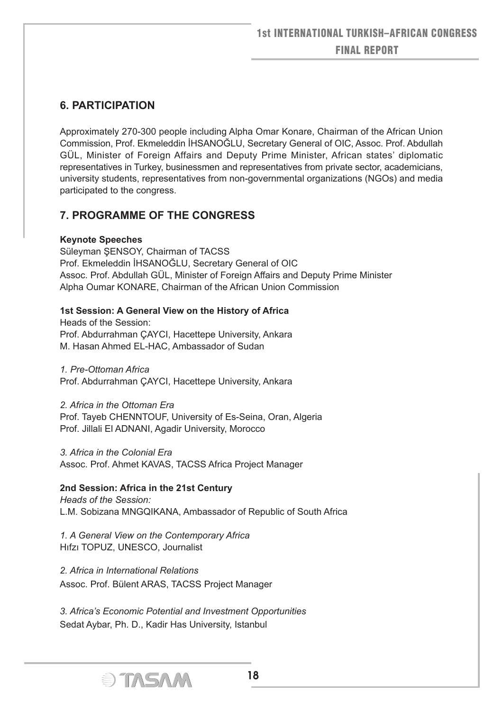#### **6. PARTICIPATION**

Approximately 270-300 people including Alpha Omar Konare, Chairman of the African Union Commission, Prof. Ekmeleddin İHSANOĞLU, Secretary General of OIC, Assoc. Prof. Abdullah GÜL, Minister of Foreign Affairs and Deputy Prime Minister, African states' diplomatic representatives in Turkey, businessmen and representatives from private sector, academicians, university students, representatives from non-governmental organizations (NGOs) and media participated to the congress.

#### **7. PROGRAMME OF THE CONGRESS**

#### **Keynote Speeches**

Süleyman ŞENSOY, Chairman of TACSS Prof. Ekmeleddin İHSANOĞLU, Secretary General of OIC Assoc. Prof. Abdullah GÜL, Minister of Foreign Affairs and Deputy Prime Minister Alpha Oumar KONARE, Chairman of the African Union Commission

#### **1st Session: A General View on the History of Africa**

Heads of the Session: Prof. Abdurrahman ÇAYCI, Hacettepe University, Ankara M. Hasan Ahmed EL-HAC, Ambassador of Sudan

*1. Pre-Ottoman Africa* Prof. Abdurrahman ÇAYCI, Hacettepe University, Ankara

*2. Africa in the Ottoman Era* Prof. Tayeb CHENNTOUF, University of Es-Seina, Oran, Algeria Prof. Jillali El ADNANI, Agadir University, Morocco

*3. Africa in the Colonial Era* Assoc. Prof. Ahmet KAVAS, TACSS Africa Project Manager

#### **2nd Session: Africa in the 21st Century**

*Heads of the Session:* L.M. Sobizana MNGQIKANA, Ambassador of Republic of South Africa

*1. A General View on the Contemporary Africa* Hıfzı TOPUZ, UNESCO, Journalist

*2. Africa in International Relations* Assoc. Prof. Bülent ARAS, TACSS Project Manager

*3. Africa's Economic Potential and Investment Opportunities* Sedat Aybar, Ph. D., Kadir Has University, Istanbul

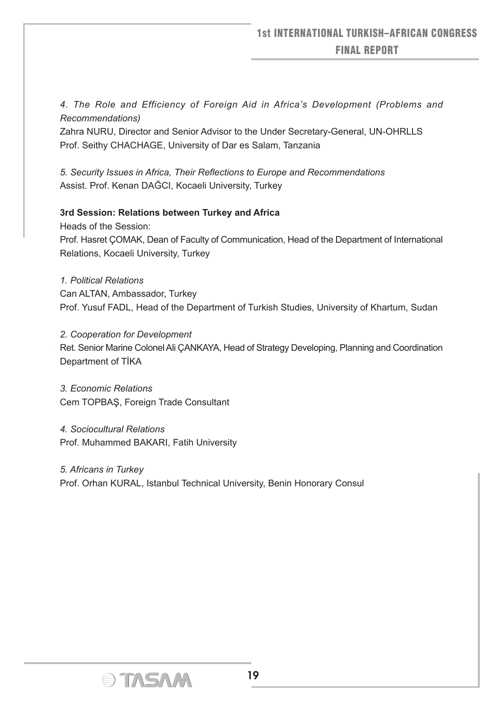*4. The Role and Efficiency of Foreign Aid in Africa's Development (Problems and Recommendations)*

Zahra NURU, Director and Senior Advisor to the Under Secretary-General, UN-OHRLLS Prof. Seithy CHACHAGE, University of Dar es Salam, Tanzania

*5. Security Issues in Africa, Their Reflections to Europe and Recommendations* Assist. Prof. Kenan DAĞCI, Kocaeli University, Turkey

#### **3rd Session: Relations between Turkey and Africa**

Heads of the Session:

Prof. Hasret ÇOMAK, Dean of Faculty of Communication, Head of the Department of International Relations, Kocaeli University, Turkey

*1. Political Relations*

Can ALTAN, Ambassador, Turkey Prof. Yusuf FADL, Head of the Department of Turkish Studies, University of Khartum, Sudan

*2. Cooperation for Development*

Ret. Senior Marine Colonel Ali ÇANKAYA, Head of Strategy Developing, Planning and Coordination Department of TİKA

*3. Economic Relations* Cem TOPBAŞ, Foreign Trade Consultant

*4. Sociocultural Relations* Prof. Muhammed BAKARI, Fatih University

*5. Africans in Turkey* Prof. Orhan KURAL, Istanbul Technical University, Benin Honorary Consul

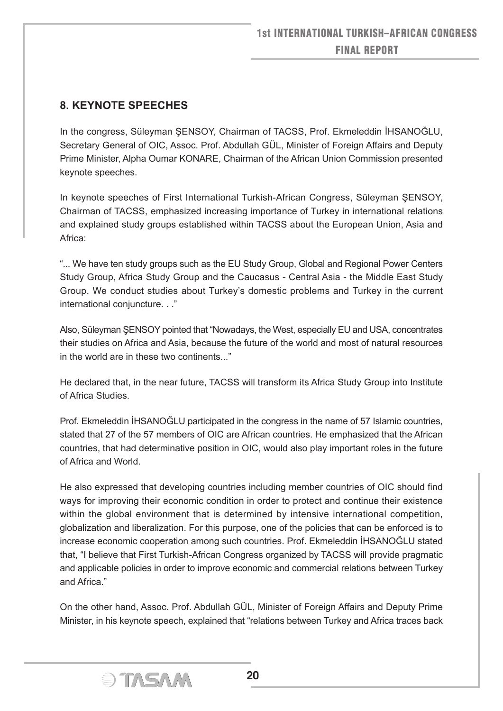#### **8. KEYNOTE SPEECHES**

In the congress, Süleyman ŞENSOY, Chairman of TACSS, Prof. Ekmeleddin İHSANOĞLU, Secretary General of OIC, Assoc. Prof. Abdullah GÜL, Minister of Foreign Affairs and Deputy Prime Minister, Alpha Oumar KONARE, Chairman of the African Union Commission presented keynote speeches.

In keynote speeches of First International Turkish-African Congress, Süleyman ŞENSOY, Chairman of TACSS, emphasized increasing importance of Turkey in international relations and explained study groups established within TACSS about the European Union, Asia and Africa:

"... We have ten study groups such as the EU Study Group, Global and Regional Power Centers Study Group, Africa Study Group and the Caucasus - Central Asia - the Middle East Study Group. We conduct studies about Turkey's domestic problems and Turkey in the current international conjuncture. . ."

Also, Süleyman ŞENSOY pointed that "Nowadays, the West, especially EU and USA, concentrates their studies on Africa and Asia, because the future of the world and most of natural resources in the world are in these two continents..."

He declared that, in the near future, TACSS will transform its Africa Study Group into Institute of Africa Studies.

Prof. Ekmeleddin İHSANOĞLU participated in the congress in the name of 57 Islamic countries, stated that 27 of the 57 members of OIC are African countries. He emphasized that the African countries, that had determinative position in OIC, would also play important roles in the future of Africa and World.

He also expressed that developing countries including member countries of OIC should find ways for improving their economic condition in order to protect and continue their existence within the global environment that is determined by intensive international competition, globalization and liberalization. For this purpose, one of the policies that can be enforced is to increase economic cooperation among such countries. Prof. Ekmeleddin İHSANOĞLU stated that, "I believe that First Turkish-African Congress organized by TACSS will provide pragmatic and applicable policies in order to improve economic and commercial relations between Turkey and Africa."

On the other hand, Assoc. Prof. Abdullah GÜL, Minister of Foreign Affairs and Deputy Prime Minister, in his keynote speech, explained that "relations between Turkey and Africa traces back

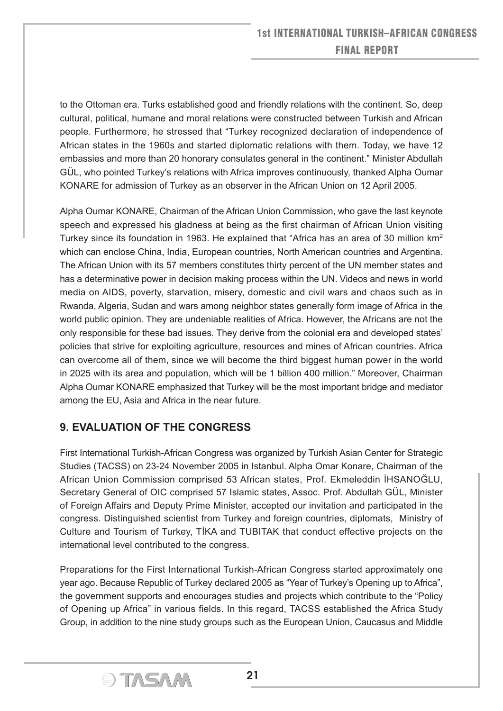to the Ottoman era. Turks established good and friendly relations with the continent. So, deep cultural, political, humane and moral relations were constructed between Turkish and African people. Furthermore, he stressed that "Turkey recognized declaration of independence of African states in the 1960s and started diplomatic relations with them. Today, we have 12 embassies and more than 20 honorary consulates general in the continent." Minister Abdullah GÜL, who pointed Turkey's relations with Africa improves continuously, thanked Alpha Oumar KONARE for admission of Turkey as an observer in the African Union on 12 April 2005.

Alpha Oumar KONARE, Chairman of the African Union Commission, who gave the last keynote speech and expressed his gladness at being as the first chairman of African Union visiting Turkey since its foundation in 1963. He explained that "Africa has an area of 30 million  $km^2$ which can enclose China, India, European countries, North American countries and Argentina. The African Union with its 57 members constitutes thirty percent of the UN member states and has a determinative power in decision making process within the UN. Videos and news in world media on AIDS, poverty, starvation, misery, domestic and civil wars and chaos such as in Rwanda, Algeria, Sudan and wars among neighbor states generally form image of Africa in the world public opinion. They are undeniable realities of Africa. However, the Africans are not the only responsible for these bad issues. They derive from the colonial era and developed states' policies that strive for exploiting agriculture, resources and mines of African countries. Africa can overcome all of them, since we will become the third biggest human power in the world in 2025 with its area and population, which will be 1 billion 400 million." Moreover, Chairman Alpha Oumar KONARE emphasized that Turkey will be the most important bridge and mediator among the EU, Asia and Africa in the near future.

## **9. EVALUATION OF THE CONGRESS**

First International Turkish-African Congress was organized by Turkish Asian Center for Strategic Studies (TACSS) on 23-24 November 2005 in Istanbul. Alpha Omar Konare, Chairman of the African Union Commission comprised 53 African states, Prof. Ekmeleddin İHSANOĞLU, Secretary General of OIC comprised 57 Islamic states, Assoc. Prof. Abdullah GÜL, Minister of Foreign Affairs and Deputy Prime Minister, accepted our invitation and participated in the congress. Distinguished scientist from Turkey and foreign countries, diplomats, Ministry of Culture and Tourism of Turkey, TİKA and TUBITAK that conduct effective projects on the international level contributed to the congress.

Preparations for the First International Turkish-African Congress started approximately one year ago. Because Republic of Turkey declared 2005 as "Year of Turkey's Opening up to Africa", the government supports and encourages studies and projects which contribute to the "Policy of Opening up Africa" in various fields. In this regard, TACSS established the Africa Study Group, in addition to the nine study groups such as the European Union, Caucasus and Middle

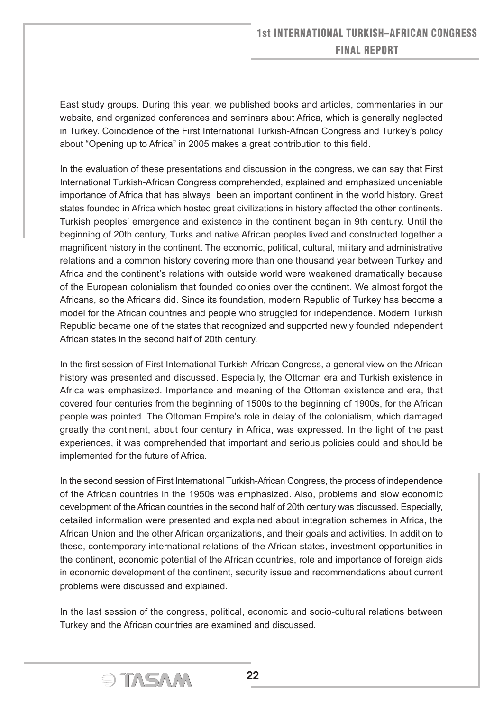East study groups. During this year, we published books and articles, commentaries in our website, and organized conferences and seminars about Africa, which is generally neglected in Turkey. Coincidence of the First International Turkish-African Congress and Turkey's policy about "Opening up to Africa" in 2005 makes a great contribution to this field.

In the evaluation of these presentations and discussion in the congress, we can say that First International Turkish-African Congress comprehended, explained and emphasized undeniable importance of Africa that has always been an important continent in the world history. Great states founded in Africa which hosted great civilizations in history affected the other continents. Turkish peoples' emergence and existence in the continent began in 9th century. Until the beginning of 20th century, Turks and native African peoples lived and constructed together a magnificent history in the continent. The economic, political, cultural, military and administrative relations and a common history covering more than one thousand year between Turkey and Africa and the continent's relations with outside world were weakened dramatically because of the European colonialism that founded colonies over the continent. We almost forgot the Africans, so the Africans did. Since its foundation, modern Republic of Turkey has become a model for the African countries and people who struggled for independence. Modern Turkish Republic became one of the states that recognized and supported newly founded independent African states in the second half of 20th century.

In the first session of First International Turkish-African Congress, a general view on the African history was presented and discussed. Especially, the Ottoman era and Turkish existence in Africa was emphasized. Importance and meaning of the Ottoman existence and era, that covered four centuries from the beginning of 1500s to the beginning of 1900s, for the African people was pointed. The Ottoman Empire's role in delay of the colonialism, which damaged greatly the continent, about four century in Africa, was expressed. In the light of the past experiences, it was comprehended that important and serious policies could and should be implemented for the future of Africa.

In the second session of First Internatıonal Turkish-African Congress, the process of independence of the African countries in the 1950s was emphasized. Also, problems and slow economic development of the African countries in the second half of 20th century was discussed. Especially, detailed information were presented and explained about integration schemes in Africa, the African Union and the other African organizations, and their goals and activities. In addition to these, contemporary international relations of the African states, investment opportunities in the continent, economic potential of the African countries, role and importance of foreign aids in economic development of the continent, security issue and recommendations about current problems were discussed and explained.

In the last session of the congress, political, economic and socio-cultural relations between Turkey and the African countries are examined and discussed.

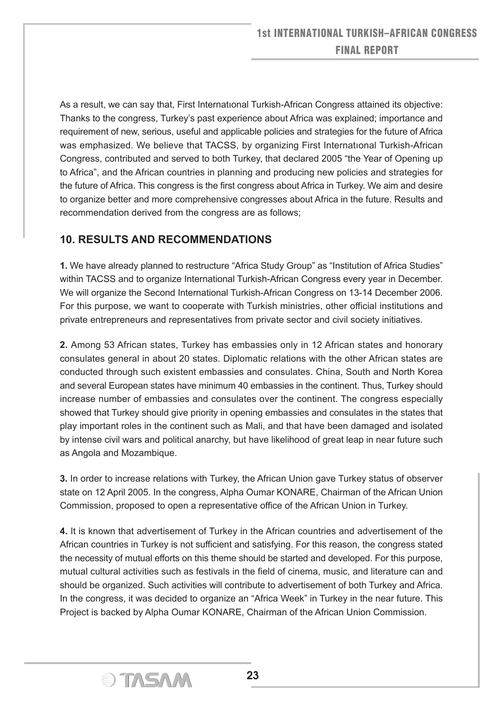As a result, we can say that, First Internatıonal Turkish-African Congress attained its objective: Thanks to the congress, Turkey's past experience about Africa was explained; importance and requirement of new, serious, useful and applicable policies and strategies for the future of Africa was emphasized. We believe that TACSS, by organizing First Internatıonal Turkish-African Congress, contributed and served to both Turkey, that declared 2005 "the Year of Opening up to Africa", and the African countries in planning and producing new policies and strategies for the future of Africa. This congress is the first congress about Africa in Turkey. We aim and desire to organize better and more comprehensive congresses about Africa in the future. Results and recommendation derived from the congress are as follows;

#### **10. RESULTS AND RECOMMENDATIONS**

**1.** We have already planned to restructure "Africa Study Group" as "Institution of Africa Studies" within TACSS and to organize International Turkish-African Congress every year in December. We will organize the Second International Turkish-African Congress on 13-14 December 2006. For this purpose, we want to cooperate with Turkish ministries, other official institutions and private entrepreneurs and representatives from private sector and civil society initiatives.

**2.** Among 53 African states, Turkey has embassies only in 12 African states and honorary consulates general in about 20 states. Diplomatic relations with the other African states are conducted through such existent embassies and consulates. China, South and North Korea and several European states have minimum 40 embassies in the continent. Thus, Turkey should increase number of embassies and consulates over the continent. The congress especially showed that Turkey should give priority in opening embassies and consulates in the states that play important roles in the continent such as Mali, and that have been damaged and isolated by intense civil wars and political anarchy, but have likelihood of great leap in near future such as Angola and Mozambique.

**3.** In order to increase relations with Turkey, the African Union gave Turkey status of observer state on 12 April 2005. In the congress, Alpha Oumar KONARE, Chairman of the African Union Commission, proposed to open a representative office of the African Union in Turkey.

**4.** It is known that advertisement of Turkey in the African countries and advertisement of the African countries in Turkey is not sufficient and satisfying. For this reason, the congress stated the necessity of mutual efforts on this theme should be started and developed. For this purpose, mutual cultural activities such as festivals in the field of cinema, music, and literature can and should be organized. Such activities will contribute to advertisement of both Turkey and Africa. In the congress, it was decided to organize an "Africa Week" in Turkey in the near future. This Project is backed by Alpha Oumar KONARE, Chairman of the African Union Commission.